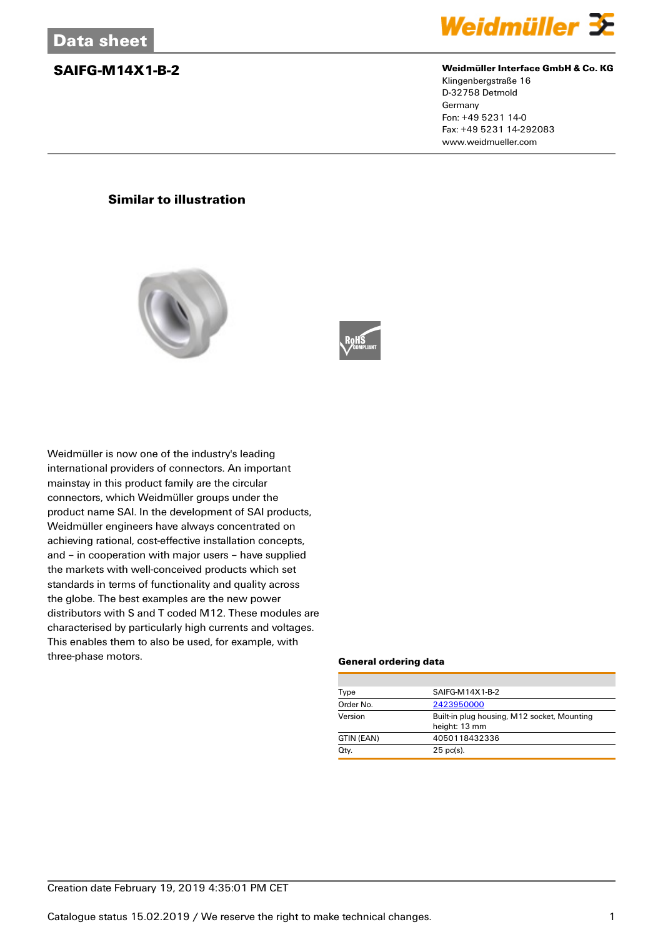

### **SAIFG-M14X1-B-2 Weidmüller Interface GmbH & Co. KG**

Klingenbergstraße 16 D-32758 Detmold Germany Fon: +49 5231 14-0 Fax: +49 5231 14-292083 www.weidmueller.com

## **Similar to illustration**





Weidmüller is now one of the industry's leading international providers of connectors. An important mainstay in this product family are the circular connectors, which Weidmüller groups under the product name SAI. In the development of SAI products, Weidmüller engineers have always concentrated on achieving rational, cost-effective installation concepts, and – in cooperation with major users – have supplied the markets with well-conceived products which set standards in terms of functionality and quality across the globe. The best examples are the new power distributors with S and T coded M12. These modules are characterised by particularly high currents and voltages. This enables them to also be used, for example, with three-phase motors.

### **General ordering data**

| Type       | SAIFG-M14X1-B-2                                              |  |  |
|------------|--------------------------------------------------------------|--|--|
| Order No.  | 2423950000                                                   |  |  |
| Version    | Built-in plug housing, M12 socket, Mounting<br>height: 13 mm |  |  |
| GTIN (EAN) | 4050118432336                                                |  |  |
| Qty.       | $25$ pc(s).                                                  |  |  |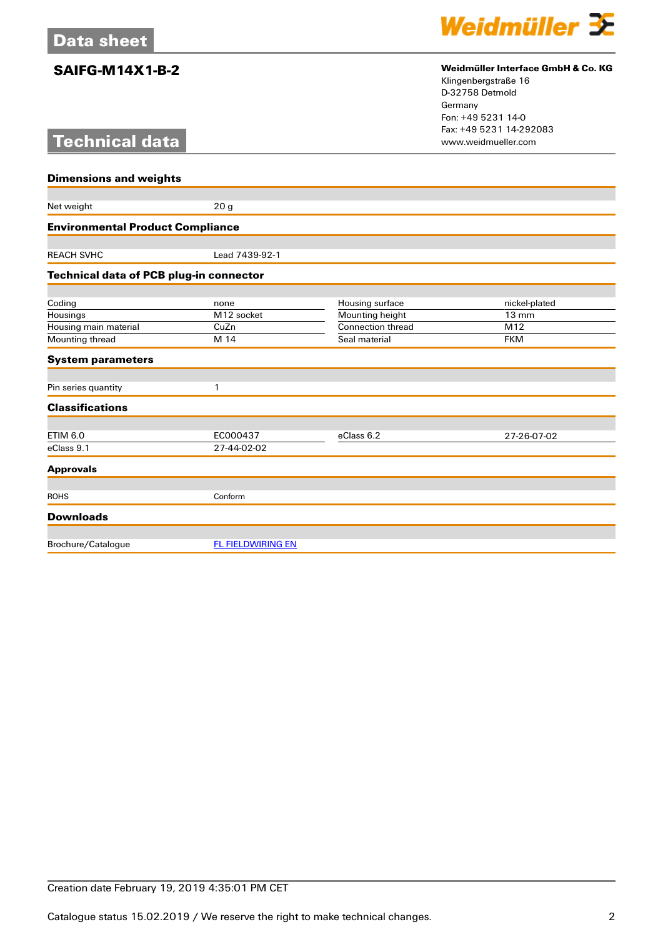# **Technical data**



## **SAIFG-M14X1-B-2 Weidmüller Interface GmbH & Co. KG**

Klingenbergstraße 16 D-32758 Detmold Germany Fon: +49 5231 14-0 Fax: +49 5231 14-292083

| <b>Dimensions and weights</b>           |                          |                          |                 |  |
|-----------------------------------------|--------------------------|--------------------------|-----------------|--|
|                                         |                          |                          |                 |  |
| Net weight                              | 20 <sub>g</sub>          |                          |                 |  |
| <b>Environmental Product Compliance</b> |                          |                          |                 |  |
|                                         |                          |                          |                 |  |
| <b>REACH SVHC</b>                       | Lead 7439-92-1           |                          |                 |  |
| Technical data of PCB plug-in connector |                          |                          |                 |  |
| Coding                                  | none                     | Housing surface          | nickel-plated   |  |
| Housings                                | M12 socket               | Mounting height          | $13 \text{ mm}$ |  |
| Housing main material                   | CuZn                     | <b>Connection thread</b> | M12             |  |
| Mounting thread                         | M 14                     | Seal material            | <b>FKM</b>      |  |
| <b>System parameters</b>                |                          |                          |                 |  |
|                                         |                          |                          |                 |  |
| Pin series quantity                     | 1                        |                          |                 |  |
| <b>Classifications</b>                  |                          |                          |                 |  |
| <b>ETIM 6.0</b>                         | EC000437                 | eClass 6.2               | 27-26-07-02     |  |
| eClass 9.1                              | 27-44-02-02              |                          |                 |  |
| <b>Approvals</b>                        |                          |                          |                 |  |
|                                         |                          |                          |                 |  |
| <b>ROHS</b>                             | Conform                  |                          |                 |  |
| <b>Downloads</b>                        |                          |                          |                 |  |
| Brochure/Catalogue                      | <b>FL FIELDWIRING EN</b> |                          |                 |  |
|                                         |                          |                          |                 |  |